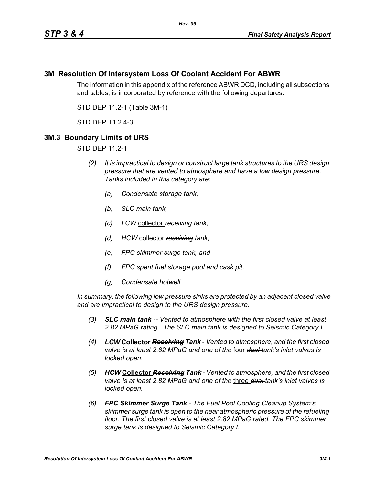## **3M Resolution Of Intersystem Loss Of Coolant Accident For ABWR**

The information in this appendix of the reference ABWR DCD, including all subsections and tables, is incorporated by reference with the following departures.

STD DEP 11.2-1 (Table 3M-1)

STD DEP T1 2.4-3

### **3M.3 Boundary Limits of URS**

STD DEP 11.2-1

- *(2) It is impractical to design or construct large tank structures to the URS design pressure that are vented to atmosphere and have a low design pressure. Tanks included in this category are:*
	- *(a) Condensate storage tank,*
	- *(b) SLC main tank,*
	- *(c) LCW* collector *receiving tank,*
	- *(d) HCW* collector *receiving tank,*
	- *(e) FPC skimmer surge tank, and*
	- *(f) FPC spent fuel storage pool and cask pit.*
	- *(g) Condensate hotwell*

*In summary, the following low pressure sinks are protected by an adjacent closed valve and are impractical to design to the URS design pressure.*

- *(3) SLC main tank -- Vented to atmosphere with the first closed valve at least 2.82 MPaG rating . The SLC main tank is designed to Seismic Category I.*
- *(4) LCW* **Collector** *Receiving Tank Vented to atmosphere, and the first closed valve is at least 2.82 MPaG and one of the* four *dual tank's inlet valves is locked open.*
- *(5) HCW* **Collector** *Receiving Tank Vented to atmosphere, and the first closed valve is at least 2.82 MPaG and one of the* three *dual tank's inlet valves is locked open.*
- *(6) FPC Skimmer Surge Tank The Fuel Pool Cooling Cleanup System's skimmer surge tank is open to the near atmospheric pressure of the refueling floor. The first closed valve is at least 2.82 MPaG rated. The FPC skimmer surge tank is designed to Seismic Category I.*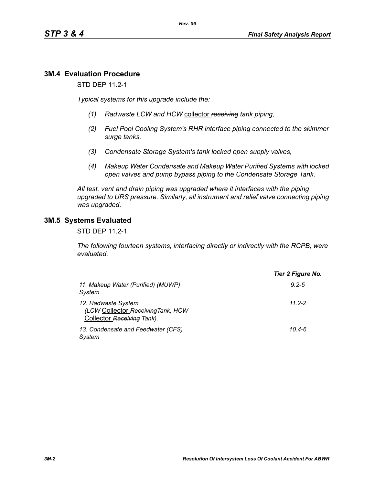# **3M.4 Evaluation Procedure**

STD DEP 11.2-1

*Typical systems for this upgrade include the:*

- *(1) Radwaste LCW and HCW* collector *receiving tank piping,*
- *(2) Fuel Pool Cooling System's RHR interface piping connected to the skimmer surge tanks,*
- *(3) Condensate Storage System's tank locked open supply valves,*
- *(4) Makeup Water Condensate and Makeup Water Purified Systems with locked open valves and pump bypass piping to the Condensate Storage Tank.*

*All test, vent and drain piping was upgraded where it interfaces with the piping upgraded to URS pressure. Similarly, all instrument and relief valve connecting piping was upgraded.*

### **3M.5 Systems Evaluated**

STD DEP 11.2-1

*The following fourteen systems, interfacing directly or indirectly with the RCPB, were evaluated.*

|                                                                                         | Tier 2 Figure No. |
|-----------------------------------------------------------------------------------------|-------------------|
| 11. Makeup Water (Purified) (MUWP)<br>System.                                           | $9.2 - 5$         |
| 12. Radwaste System<br>(LCW Collector Receiving Tank, HCW<br>Collector Receiving Tank). | 11 2-2            |
| 13. Condensate and Feedwater (CFS)<br>System                                            | $10.4 - 6$        |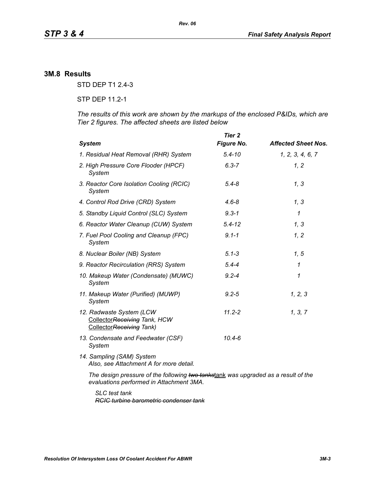### **3M.8 Results**

STD DEP T1 2.4-3

STP DEP 11.2-1

*The results of this work are shown by the markups of the enclosed P&IDs, which are Tier 2 figures. The affected sheets are listed below*

| <b>System</b>                                                                                                                  | Tier 2<br><b>Figure No.</b> | <b>Affected Sheet Nos.</b> |
|--------------------------------------------------------------------------------------------------------------------------------|-----------------------------|----------------------------|
| 1. Residual Heat Removal (RHR) System                                                                                          | $5.4 - 10$                  | 1, 2, 3, 4, 6, 7           |
| 2. High Pressure Core Flooder (HPCF)<br>System                                                                                 | $6.3 - 7$                   | 1, 2                       |
| 3. Reactor Core Isolation Cooling (RCIC)<br>System                                                                             | $5.4 - 8$                   | 1, 3                       |
| 4. Control Rod Drive (CRD) System                                                                                              | $4.6 - 8$                   | 1, 3                       |
| 5. Standby Liquid Control (SLC) System                                                                                         | $9.3 - 1$                   | $\mathcal I$               |
| 6. Reactor Water Cleanup (CUW) System                                                                                          | $5.4 - 12$                  | 1, 3                       |
| 7. Fuel Pool Cooling and Cleanup (FPC)<br>System                                                                               | $9.1 - 1$                   | 1, 2                       |
| 8. Nuclear Boiler (NB) System                                                                                                  | $5.1 - 3$                   | 1, 5                       |
| 9. Reactor Recirculation (RRS) System                                                                                          | $5.4 - 4$                   | $\mathcal I$               |
| 10. Makeup Water (Condensate) (MUWC)<br>System                                                                                 | $9.2 - 4$                   | 1                          |
| 11. Makeup Water (Purified) (MUWP)<br>System                                                                                   | $9.2 - 5$                   | 1, 2, 3                    |
| 12. Radwaste System (LCW<br>CollectorReceiving Tank, HCW<br>CollectorReceiving Tank)                                           | $11.2 - 2$                  | 1, 3, 7                    |
| 13. Condensate and Feedwater (CSF)<br>System                                                                                   | 10.4-6                      |                            |
| 14. Sampling (SAM) System<br>Also, see Attachment A for more detail.                                                           |                             |                            |
| The design pressure of the following two tankstank was upgraded as a result of the<br>evaluations performed in Attachment 3MA. |                             |                            |

*SLC test tank RCIC turbine barometric condenser tank*